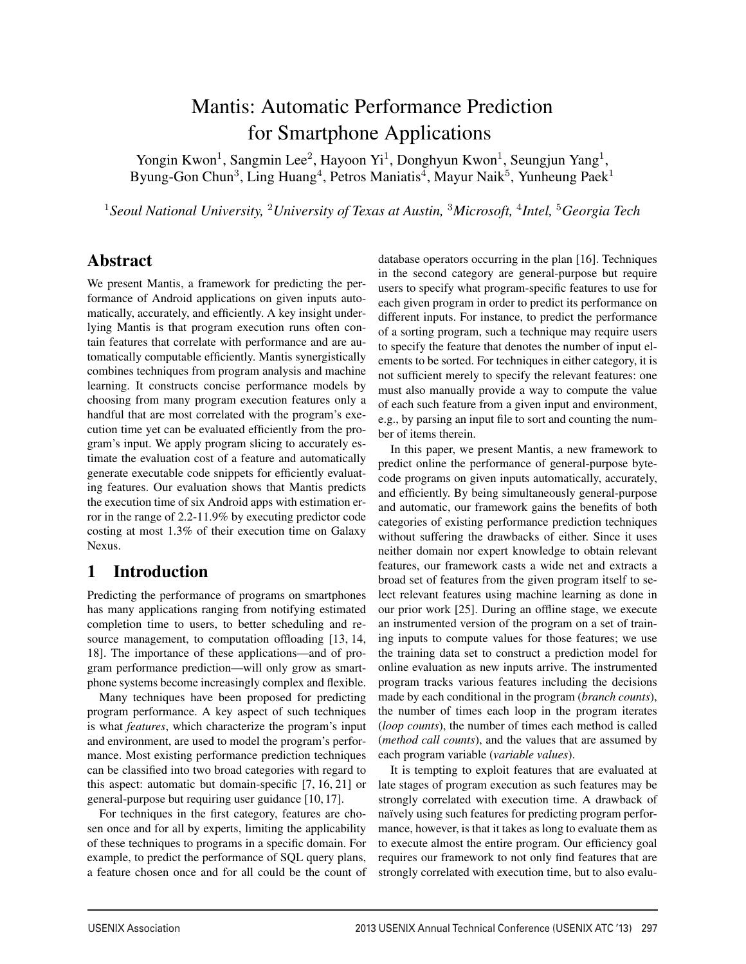# Mantis: Automatic Performance Prediction for Smartphone Applications

Yongin Kwon<sup>1</sup>, Sangmin Lee<sup>2</sup>, Hayoon Yi<sup>1</sup>, Donghyun Kwon<sup>1</sup>, Seungjun Yang<sup>1</sup>, Byung-Gon Chun<sup>3</sup>, Ling Huang<sup>4</sup>, Petros Maniatis<sup>4</sup>, Mayur Naik<sup>5</sup>, Yunheung Paek<sup>1</sup>

<sup>1</sup>*Seoul National University,* <sup>2</sup>*University of Texas at Austin,* <sup>3</sup>*Microsoft,* <sup>4</sup>*Intel,* <sup>5</sup>*Georgia Tech*

### Abstract

We present Mantis, a framework for predicting the performance of Android applications on given inputs automatically, accurately, and efficiently. A key insight underlying Mantis is that program execution runs often contain features that correlate with performance and are automatically computable efficiently. Mantis synergistically combines techniques from program analysis and machine learning. It constructs concise performance models by choosing from many program execution features only a handful that are most correlated with the program's execution time yet can be evaluated efficiently from the program's input. We apply program slicing to accurately estimate the evaluation cost of a feature and automatically generate executable code snippets for efficiently evaluating features. Our evaluation shows that Mantis predicts the execution time of six Android apps with estimation error in the range of 2.2-11.9% by executing predictor code costing at most 1.3% of their execution time on Galaxy Nexus.

## 1 Introduction

Predicting the performance of programs on smartphones has many applications ranging from notifying estimated completion time to users, to better scheduling and resource management, to computation offloading [13, 14, 18]. The importance of these applications—and of program performance prediction—will only grow as smartphone systems become increasingly complex and flexible.

Many techniques have been proposed for predicting program performance. A key aspect of such techniques is what *features*, which characterize the program's input and environment, are used to model the program's performance. Most existing performance prediction techniques can be classified into two broad categories with regard to this aspect: automatic but domain-specific [7, 16, 21] or general-purpose but requiring user guidance [10, 17].

For techniques in the first category, features are chosen once and for all by experts, limiting the applicability of these techniques to programs in a specific domain. For example, to predict the performance of SQL query plans, a feature chosen once and for all could be the count of

database operators occurring in the plan [16]. Techniques in the second category are general-purpose but require users to specify what program-specific features to use for each given program in order to predict its performance on different inputs. For instance, to predict the performance of a sorting program, such a technique may require users to specify the feature that denotes the number of input elements to be sorted. For techniques in either category, it is not sufficient merely to specify the relevant features: one must also manually provide a way to compute the value of each such feature from a given input and environment, e.g., by parsing an input file to sort and counting the number of items therein.

In this paper, we present Mantis, a new framework to predict online the performance of general-purpose bytecode programs on given inputs automatically, accurately, and efficiently. By being simultaneously general-purpose and automatic, our framework gains the benefits of both categories of existing performance prediction techniques without suffering the drawbacks of either. Since it uses neither domain nor expert knowledge to obtain relevant features, our framework casts a wide net and extracts a broad set of features from the given program itself to select relevant features using machine learning as done in our prior work [25]. During an offline stage, we execute an instrumented version of the program on a set of training inputs to compute values for those features; we use the training data set to construct a prediction model for online evaluation as new inputs arrive. The instrumented program tracks various features including the decisions made by each conditional in the program (*branch counts*), the number of times each loop in the program iterates (*loop counts*), the number of times each method is called (*method call counts*), and the values that are assumed by each program variable (*variable values*).

It is tempting to exploit features that are evaluated at late stages of program execution as such features may be strongly correlated with execution time. A drawback of naïvely using such features for predicting program performance, however, is that it takes as long to evaluate them as to execute almost the entire program. Our efficiency goal requires our framework to not only find features that are strongly correlated with execution time, but to also evalu-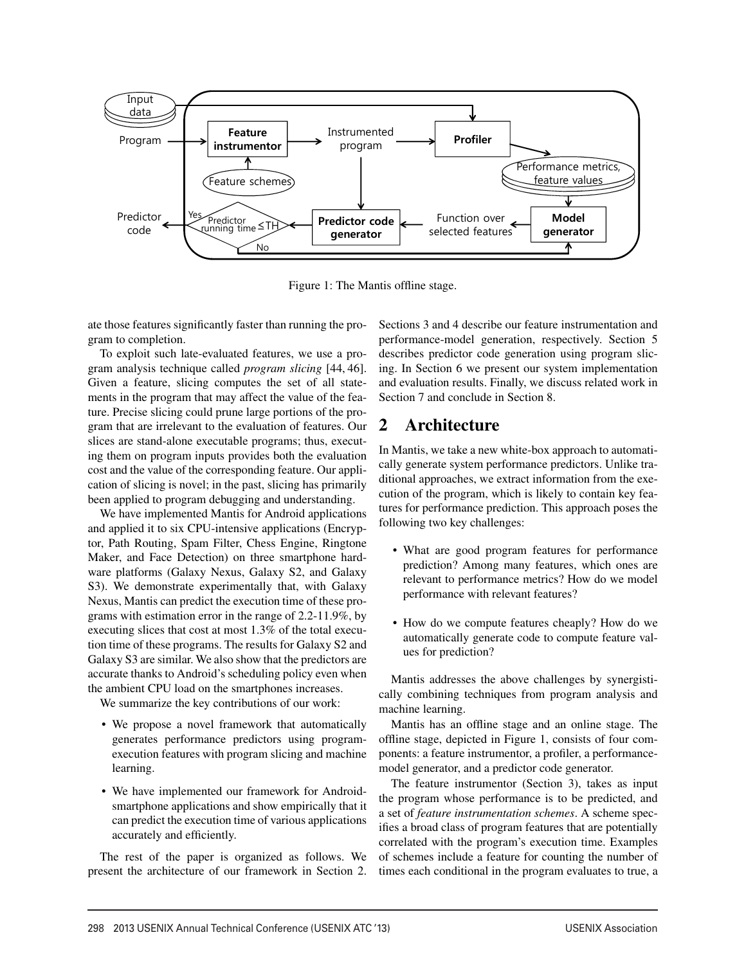

Figure 1: The Mantis offline stage.

ate those features significantly faster than running the program to completion.

To exploit such late-evaluated features, we use a program analysis technique called *program slicing* [44, 46]. Given a feature, slicing computes the set of all statements in the program that may affect the value of the feature. Precise slicing could prune large portions of the program that are irrelevant to the evaluation of features. Our slices are stand-alone executable programs; thus, executing them on program inputs provides both the evaluation cost and the value of the corresponding feature. Our application of slicing is novel; in the past, slicing has primarily been applied to program debugging and understanding.

We have implemented Mantis for Android applications and applied it to six CPU-intensive applications (Encryptor, Path Routing, Spam Filter, Chess Engine, Ringtone Maker, and Face Detection) on three smartphone hardware platforms (Galaxy Nexus, Galaxy S2, and Galaxy S3). We demonstrate experimentally that, with Galaxy Nexus, Mantis can predict the execution time of these programs with estimation error in the range of 2.2-11.9%, by executing slices that cost at most 1.3% of the total execution time of these programs. The results for Galaxy S2 and Galaxy S3 are similar. We also show that the predictors are accurate thanks to Android's scheduling policy even when the ambient CPU load on the smartphones increases.

We summarize the key contributions of our work:

- We propose a novel framework that automatically generates performance predictors using programexecution features with program slicing and machine learning.
- We have implemented our framework for Androidsmartphone applications and show empirically that it can predict the execution time of various applications accurately and efficiently.

The rest of the paper is organized as follows. We present the architecture of our framework in Section 2. Sections 3 and 4 describe our feature instrumentation and performance-model generation, respectively. Section 5 describes predictor code generation using program slicing. In Section 6 we present our system implementation and evaluation results. Finally, we discuss related work in Section 7 and conclude in Section 8.

## 2 Architecture

In Mantis, we take a new white-box approach to automatically generate system performance predictors. Unlike traditional approaches, we extract information from the execution of the program, which is likely to contain key features for performance prediction. This approach poses the following two key challenges:

- What are good program features for performance prediction? Among many features, which ones are relevant to performance metrics? How do we model performance with relevant features?
- How do we compute features cheaply? How do we automatically generate code to compute feature values for prediction?

Mantis addresses the above challenges by synergistically combining techniques from program analysis and machine learning.

Mantis has an offline stage and an online stage. The offline stage, depicted in Figure 1, consists of four components: a feature instrumentor, a profiler, a performancemodel generator, and a predictor code generator.

The feature instrumentor (Section 3), takes as input the program whose performance is to be predicted, and a set of *feature instrumentation schemes*. A scheme specifies a broad class of program features that are potentially correlated with the program's execution time. Examples of schemes include a feature for counting the number of times each conditional in the program evaluates to true, a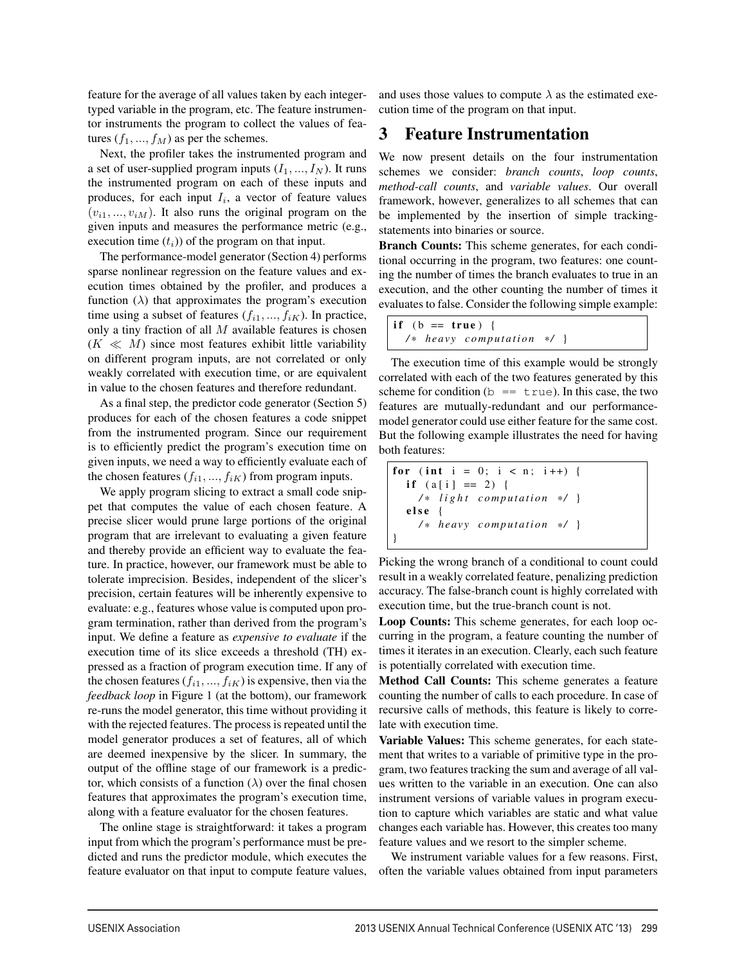feature for the average of all values taken by each integertyped variable in the program, etc. The feature instrumentor instruments the program to collect the values of features  $(f_1, ..., f_M)$  as per the schemes.

Next, the profiler takes the instrumented program and a set of user-supplied program inputs  $(I_1, ..., I_N)$ . It runs the instrumented program on each of these inputs and produces, for each input  $I_i$ , a vector of feature values  $(v_{i1},..., v_{iM})$ . It also runs the original program on the given inputs and measures the performance metric (e.g., execution time  $(t_i)$ ) of the program on that input.

The performance-model generator (Section 4) performs sparse nonlinear regression on the feature values and execution times obtained by the profiler, and produces a function  $(\lambda)$  that approximates the program's execution time using a subset of features  $(f_{i1}, ..., f_{iK})$ . In practice, only a tiny fraction of all M available features is chosen  $(K \ll M)$  since most features exhibit little variability on different program inputs, are not correlated or only weakly correlated with execution time, or are equivalent in value to the chosen features and therefore redundant.

As a final step, the predictor code generator (Section 5) produces for each of the chosen features a code snippet from the instrumented program. Since our requirement is to efficiently predict the program's execution time on given inputs, we need a way to efficiently evaluate each of the chosen features  $(f_{i1}, ..., f_{iK})$  from program inputs.

We apply program slicing to extract a small code snippet that computes the value of each chosen feature. A precise slicer would prune large portions of the original program that are irrelevant to evaluating a given feature and thereby provide an efficient way to evaluate the feature. In practice, however, our framework must be able to tolerate imprecision. Besides, independent of the slicer's precision, certain features will be inherently expensive to evaluate: e.g., features whose value is computed upon program termination, rather than derived from the program's input. We define a feature as *expensive to evaluate* if the execution time of its slice exceeds a threshold (TH) expressed as a fraction of program execution time. If any of the chosen features  $(f_{i1}, ..., f_{iK})$  is expensive, then via the *feedback loop* in Figure 1 (at the bottom), our framework re-runs the model generator, this time without providing it with the rejected features. The process is repeated until the model generator produces a set of features, all of which are deemed inexpensive by the slicer. In summary, the output of the offline stage of our framework is a predictor, which consists of a function  $(\lambda)$  over the final chosen features that approximates the program's execution time, along with a feature evaluator for the chosen features.

The online stage is straightforward: it takes a program input from which the program's performance must be predicted and runs the predictor module, which executes the feature evaluator on that input to compute feature values,

and uses those values to compute  $\lambda$  as the estimated execution time of the program on that input.

### 3 Feature Instrumentation

We now present details on the four instrumentation schemes we consider: *branch counts*, *loop counts*, *method-call counts*, and *variable values*. Our overall framework, however, generalizes to all schemes that can be implemented by the insertion of simple trackingstatements into binaries or source.

Branch Counts: This scheme generates, for each conditional occurring in the program, two features: one counting the number of times the branch evaluates to true in an execution, and the other counting the number of times it evaluates to false. Consider the following simple example:

|  | if $(b == true)$ { |                               |  |  |
|--|--------------------|-------------------------------|--|--|
|  |                    | $/*$ heavy computation $*/$ } |  |  |

The execution time of this example would be strongly correlated with each of the two features generated by this scheme for condition (b =  $\pm$  rue). In this case, the two features are mutually-redundant and our performancemodel generator could use either feature for the same cost. But the following example illustrates the need for having both features:

for ( int i = 0; i < n; i ++) { i f ( a [ i ] == 2 ) { */ \* light computation \* /* } else { */ \* heavy computation \* /* } }

Picking the wrong branch of a conditional to count could result in a weakly correlated feature, penalizing prediction accuracy. The false-branch count is highly correlated with execution time, but the true-branch count is not.

Loop Counts: This scheme generates, for each loop occurring in the program, a feature counting the number of times it iterates in an execution. Clearly, each such feature is potentially correlated with execution time.

Method Call Counts: This scheme generates a feature counting the number of calls to each procedure. In case of recursive calls of methods, this feature is likely to correlate with execution time.

Variable Values: This scheme generates, for each statement that writes to a variable of primitive type in the program, two features tracking the sum and average of all values written to the variable in an execution. One can also instrument versions of variable values in program execution to capture which variables are static and what value changes each variable has. However, this creates too many feature values and we resort to the simpler scheme.

We instrument variable values for a few reasons. First, often the variable values obtained from input parameters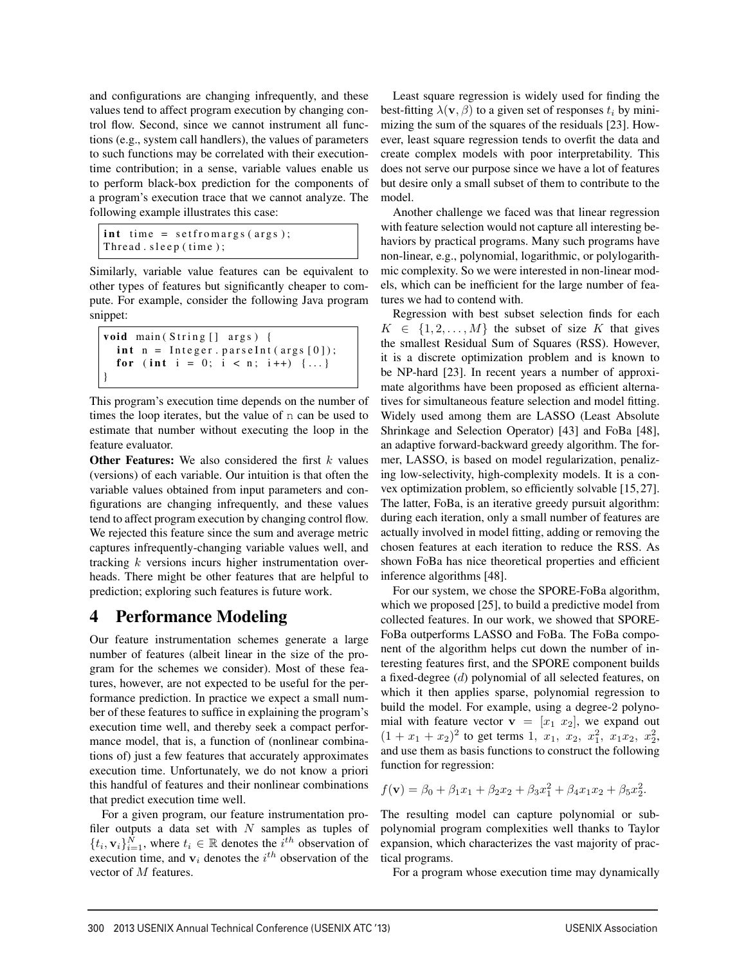and configurations are changing infrequently, and these values tend to affect program execution by changing control flow. Second, since we cannot instrument all functions (e.g., system call handlers), the values of parameters to such functions may be correlated with their executiontime contribution; in a sense, variable values enable us to perform black-box prediction for the components of a program's execution trace that we cannot analyze. The following example illustrates this case:

```
int time = setfromargs (args);
Thread . sleep ( time );
```
Similarly, variable value features can be equivalent to other types of features but significantly cheaper to compute. For example, consider the following Java program snippet:

```
void main (String [] args) {
  int n = Integer . parseInt (args[0]);
  for (int i = 0; i < n; i++) \{ \dots \}}
```
This program's execution time depends on the number of times the loop iterates, but the value of n can be used to estimate that number without executing the loop in the feature evaluator.

Other Features: We also considered the first  $k$  values (versions) of each variable. Our intuition is that often the variable values obtained from input parameters and configurations are changing infrequently, and these values tend to affect program execution by changing control flow. We rejected this feature since the sum and average metric captures infrequently-changing variable values well, and tracking  $k$  versions incurs higher instrumentation overheads. There might be other features that are helpful to prediction; exploring such features is future work.

## 4 Performance Modeling

Our feature instrumentation schemes generate a large number of features (albeit linear in the size of the program for the schemes we consider). Most of these features, however, are not expected to be useful for the performance prediction. In practice we expect a small number of these features to suffice in explaining the program's execution time well, and thereby seek a compact performance model, that is, a function of (nonlinear combinations of) just a few features that accurately approximates execution time. Unfortunately, we do not know a priori this handful of features and their nonlinear combinations that predict execution time well.

For a given program, our feature instrumentation profiler outputs a data set with  $N$  samples as tuples of  $\{t_i, \mathbf{v}_i\}_{i=1}^N$ , where  $t_i \in \mathbb{R}$  denotes the  $i^{th}$  observation of execution time, and  $v_i$  denotes the  $i<sup>th</sup>$  observation of the vector of M features.

Least square regression is widely used for finding the best-fitting  $\lambda(\mathbf{v}, \beta)$  to a given set of responses  $t_i$  by minimizing the sum of the squares of the residuals [23]. However, least square regression tends to overfit the data and create complex models with poor interpretability. This does not serve our purpose since we have a lot of features but desire only a small subset of them to contribute to the model.

Another challenge we faced was that linear regression with feature selection would not capture all interesting behaviors by practical programs. Many such programs have non-linear, e.g., polynomial, logarithmic, or polylogarithmic complexity. So we were interested in non-linear models, which can be inefficient for the large number of features we had to contend with.

Regression with best subset selection finds for each  $K \in \{1, 2, ..., M\}$  the subset of size K that gives the smallest Residual Sum of Squares (RSS). However, it is a discrete optimization problem and is known to be NP-hard [23]. In recent years a number of approximate algorithms have been proposed as efficient alternatives for simultaneous feature selection and model fitting. Widely used among them are LASSO (Least Absolute Shrinkage and Selection Operator) [43] and FoBa [48], an adaptive forward-backward greedy algorithm. The former, LASSO, is based on model regularization, penalizing low-selectivity, high-complexity models. It is a convex optimization problem, so efficiently solvable [15, 27]. The latter, FoBa, is an iterative greedy pursuit algorithm: during each iteration, only a small number of features are actually involved in model fitting, adding or removing the chosen features at each iteration to reduce the RSS. As shown FoBa has nice theoretical properties and efficient inference algorithms [48].

For our system, we chose the SPORE-FoBa algorithm, which we proposed [25], to build a predictive model from collected features. In our work, we showed that SPORE-FoBa outperforms LASSO and FoBa. The FoBa component of the algorithm helps cut down the number of interesting features first, and the SPORE component builds a fixed-degree (d) polynomial of all selected features, on which it then applies sparse, polynomial regression to build the model. For example, using a degree-2 polynomial with feature vector  $\mathbf{v} = [x_1 \ x_2]$ , we expand out  $(1 + x_1 + x_2)^2$  to get terms 1,  $x_1$ ,  $x_2$ ,  $x_1^2$ ,  $x_1x_2$ ,  $x_2^2$ , and use them as basis functions to construct the following function for regression:

$$
f(\mathbf{v}) = \beta_0 + \beta_1 x_1 + \beta_2 x_2 + \beta_3 x_1^2 + \beta_4 x_1 x_2 + \beta_5 x_2^2.
$$

The resulting model can capture polynomial or subpolynomial program complexities well thanks to Taylor expansion, which characterizes the vast majority of practical programs.

For a program whose execution time may dynamically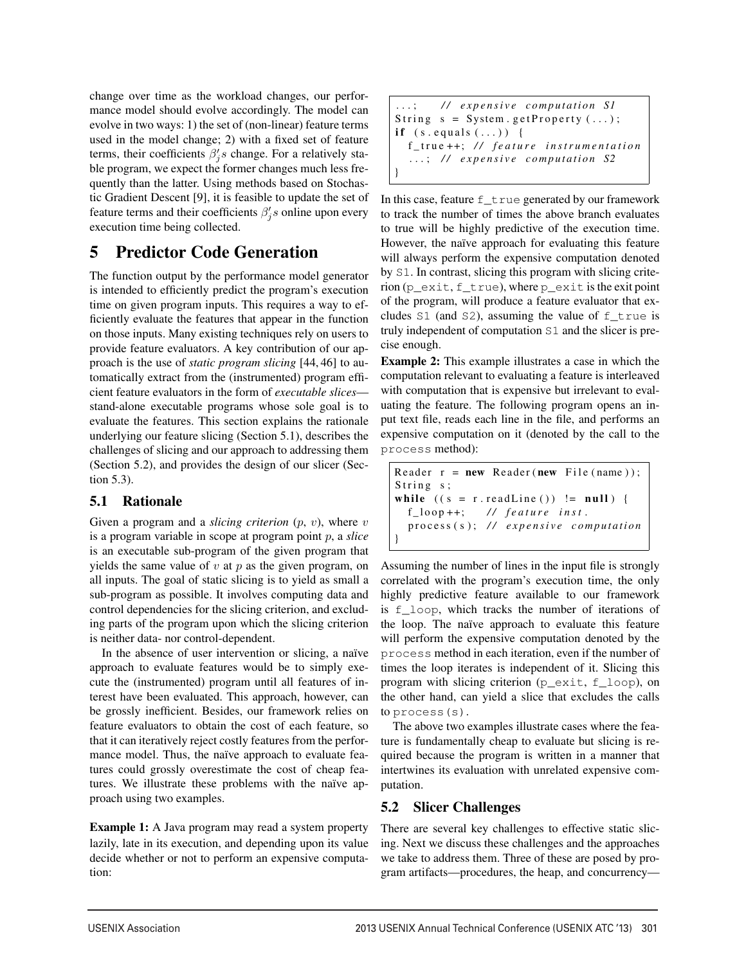change over time as the workload changes, our performance model should evolve accordingly. The model can evolve in two ways: 1) the set of (non-linear) feature terms used in the model change; 2) with a fixed set of feature terms, their coefficients  $\beta'_j s$  change. For a relatively stable program, we expect the former changes much less frequently than the latter. Using methods based on Stochastic Gradient Descent [9], it is feasible to update the set of feature terms and their coefficients  $\beta'_j s$  online upon every execution time being collected.

## 5 Predictor Code Generation

The function output by the performance model generator is intended to efficiently predict the program's execution time on given program inputs. This requires a way to efficiently evaluate the features that appear in the function on those inputs. Many existing techniques rely on users to provide feature evaluators. A key contribution of our approach is the use of *static program slicing* [44, 46] to automatically extract from the (instrumented) program efficient feature evaluators in the form of *executable slices* stand-alone executable programs whose sole goal is to evaluate the features. This section explains the rationale underlying our feature slicing (Section 5.1), describes the challenges of slicing and our approach to addressing them (Section 5.2), and provides the design of our slicer (Section 5.3).

#### 5.1 Rationale

Given a program and a *slicing criterion*  $(p, v)$ , where v is a program variable in scope at program point p, a *slice* is an executable sub-program of the given program that yields the same value of  $v$  at  $p$  as the given program, on all inputs. The goal of static slicing is to yield as small a sub-program as possible. It involves computing data and control dependencies for the slicing criterion, and excluding parts of the program upon which the slicing criterion is neither data- nor control-dependent.

In the absence of user intervention or slicing, a naïve approach to evaluate features would be to simply execute the (instrumented) program until all features of interest have been evaluated. This approach, however, can be grossly inefficient. Besides, our framework relies on feature evaluators to obtain the cost of each feature, so that it can iteratively reject costly features from the performance model. Thus, the naïve approach to evaluate features could grossly overestimate the cost of cheap features. We illustrate these problems with the naïve approach using two examples.

**Example 1:** A Java program may read a system property lazily, late in its execution, and depending upon its value decide whether or not to perform an expensive computation:

```
...; / / expensive computation S1
String s = System.getProperty (...);if (s.\text{equals}(\ldots)) {
  f_true ++; // feature instrumentation
  ...; / / expensive computation S2
}
```
In this case, feature  $f$ \_true generated by our framework to track the number of times the above branch evaluates to true will be highly predictive of the execution time. However, the naïve approach for evaluating this feature will always perform the expensive computation denoted by S1. In contrast, slicing this program with slicing criterion (p\_exit, f\_true), where p\_exit is the exit point of the program, will produce a feature evaluator that excludes  $S1$  (and  $S2$ ), assuming the value of  $f$  true is truly independent of computation S1 and the slicer is precise enough.

Example 2: This example illustrates a case in which the computation relevant to evaluating a feature is interleaved with computation that is expensive but irrelevant to evaluating the feature. The following program opens an input text file, reads each line in the file, and performs an expensive computation on it (denoted by the call to the process method):

```
Reader r = new Reader(new File(name));String s;
while ((s = r.readLine()) != null) {
  f_loop ++; // feature inst .
  process (s ); // expensive computation
}
```
Assuming the number of lines in the input file is strongly correlated with the program's execution time, the only highly predictive feature available to our framework is f\_loop, which tracks the number of iterations of the loop. The naïve approach to evaluate this feature will perform the expensive computation denoted by the process method in each iteration, even if the number of times the loop iterates is independent of it. Slicing this program with slicing criterion (p\_exit, f\_loop), on the other hand, can yield a slice that excludes the calls to process(s).

The above two examples illustrate cases where the feature is fundamentally cheap to evaluate but slicing is required because the program is written in a manner that intertwines its evaluation with unrelated expensive computation.

### 5.2 Slicer Challenges

There are several key challenges to effective static slicing. Next we discuss these challenges and the approaches we take to address them. Three of these are posed by program artifacts—procedures, the heap, and concurrency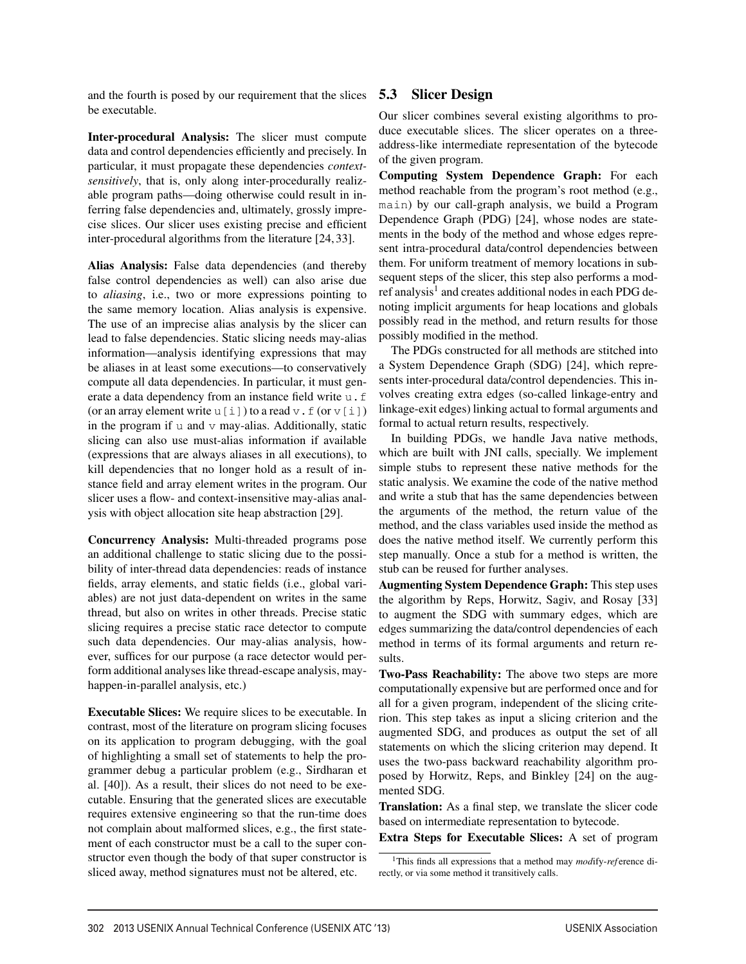and the fourth is posed by our requirement that the slices be executable.

Inter-procedural Analysis: The slicer must compute data and control dependencies efficiently and precisely. In particular, it must propagate these dependencies *contextsensitively*, that is, only along inter-procedurally realizable program paths—doing otherwise could result in inferring false dependencies and, ultimately, grossly imprecise slices. Our slicer uses existing precise and efficient inter-procedural algorithms from the literature [24, 33].

Alias Analysis: False data dependencies (and thereby false control dependencies as well) can also arise due to *aliasing*, i.e., two or more expressions pointing to the same memory location. Alias analysis is expensive. The use of an imprecise alias analysis by the slicer can lead to false dependencies. Static slicing needs may-alias information—analysis identifying expressions that may be aliases in at least some executions—to conservatively compute all data dependencies. In particular, it must generate a data dependency from an instance field write u.f (or an array element write u[i]) to a read  $v \cdot f$  (or  $v[i]$ ) in the program if  $u$  and  $v$  may-alias. Additionally, static slicing can also use must-alias information if available (expressions that are always aliases in all executions), to kill dependencies that no longer hold as a result of instance field and array element writes in the program. Our slicer uses a flow- and context-insensitive may-alias analysis with object allocation site heap abstraction [29].

Concurrency Analysis: Multi-threaded programs pose an additional challenge to static slicing due to the possibility of inter-thread data dependencies: reads of instance fields, array elements, and static fields (i.e., global variables) are not just data-dependent on writes in the same thread, but also on writes in other threads. Precise static slicing requires a precise static race detector to compute such data dependencies. Our may-alias analysis, however, suffices for our purpose (a race detector would perform additional analyses like thread-escape analysis, mayhappen-in-parallel analysis, etc.)

Executable Slices: We require slices to be executable. In contrast, most of the literature on program slicing focuses on its application to program debugging, with the goal of highlighting a small set of statements to help the programmer debug a particular problem (e.g., Sirdharan et al. [40]). As a result, their slices do not need to be executable. Ensuring that the generated slices are executable requires extensive engineering so that the run-time does not complain about malformed slices, e.g., the first statement of each constructor must be a call to the super constructor even though the body of that super constructor is sliced away, method signatures must not be altered, etc.

#### 5.3 Slicer Design

Our slicer combines several existing algorithms to produce executable slices. The slicer operates on a threeaddress-like intermediate representation of the bytecode of the given program.

Computing System Dependence Graph: For each method reachable from the program's root method (e.g., main) by our call-graph analysis, we build a Program Dependence Graph (PDG) [24], whose nodes are statements in the body of the method and whose edges represent intra-procedural data/control dependencies between them. For uniform treatment of memory locations in subsequent steps of the slicer, this step also performs a modref analysis<sup>1</sup> and creates additional nodes in each PDG denoting implicit arguments for heap locations and globals possibly read in the method, and return results for those possibly modified in the method.

The PDGs constructed for all methods are stitched into a System Dependence Graph (SDG) [24], which represents inter-procedural data/control dependencies. This involves creating extra edges (so-called linkage-entry and linkage-exit edges) linking actual to formal arguments and formal to actual return results, respectively.

In building PDGs, we handle Java native methods, which are built with JNI calls, specially. We implement simple stubs to represent these native methods for the static analysis. We examine the code of the native method and write a stub that has the same dependencies between the arguments of the method, the return value of the method, and the class variables used inside the method as does the native method itself. We currently perform this step manually. Once a stub for a method is written, the stub can be reused for further analyses.

Augmenting System Dependence Graph: This step uses the algorithm by Reps, Horwitz, Sagiv, and Rosay [33] to augment the SDG with summary edges, which are edges summarizing the data/control dependencies of each method in terms of its formal arguments and return results.

Two-Pass Reachability: The above two steps are more computationally expensive but are performed once and for all for a given program, independent of the slicing criterion. This step takes as input a slicing criterion and the augmented SDG, and produces as output the set of all statements on which the slicing criterion may depend. It uses the two-pass backward reachability algorithm proposed by Horwitz, Reps, and Binkley [24] on the augmented SDG.

Translation: As a final step, we translate the slicer code based on intermediate representation to bytecode.

Extra Steps for Executable Slices: A set of program

<sup>1</sup>This finds all expressions that a method may *mod*ify-*ref* erence directly, or via some method it transitively calls.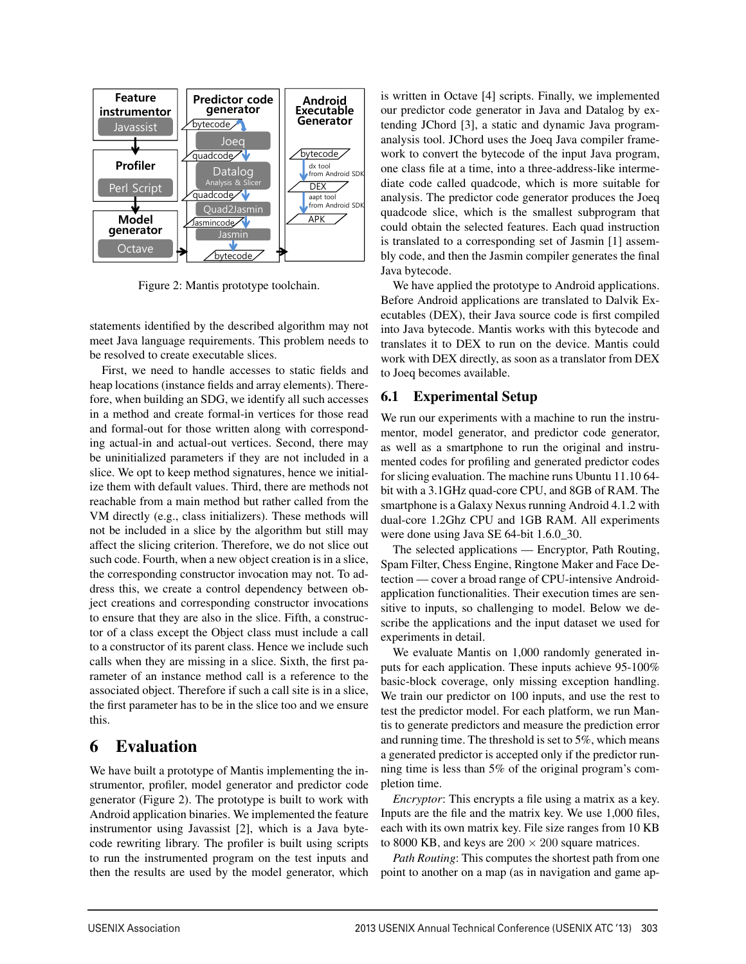

Figure 2: Mantis prototype toolchain.

statements identified by the described algorithm may not meet Java language requirements. This problem needs to be resolved to create executable slices.

First, we need to handle accesses to static fields and heap locations (instance fields and array elements). Therefore, when building an SDG, we identify all such accesses in a method and create formal-in vertices for those read and formal-out for those written along with corresponding actual-in and actual-out vertices. Second, there may be uninitialized parameters if they are not included in a slice. We opt to keep method signatures, hence we initialize them with default values. Third, there are methods not reachable from a main method but rather called from the VM directly (e.g., class initializers). These methods will not be included in a slice by the algorithm but still may affect the slicing criterion. Therefore, we do not slice out such code. Fourth, when a new object creation is in a slice, the corresponding constructor invocation may not. To address this, we create a control dependency between object creations and corresponding constructor invocations to ensure that they are also in the slice. Fifth, a constructor of a class except the Object class must include a call to a constructor of its parent class. Hence we include such calls when they are missing in a slice. Sixth, the first parameter of an instance method call is a reference to the associated object. Therefore if such a call site is in a slice, the first parameter has to be in the slice too and we ensure this.

## 6 Evaluation

We have built a prototype of Mantis implementing the instrumentor, profiler, model generator and predictor code generator (Figure 2). The prototype is built to work with Android application binaries. We implemented the feature instrumentor using Javassist [2], which is a Java bytecode rewriting library. The profiler is built using scripts to run the instrumented program on the test inputs and then the results are used by the model generator, which

is written in Octave [4] scripts. Finally, we implemented our predictor code generator in Java and Datalog by extending JChord [3], a static and dynamic Java programanalysis tool. JChord uses the Joeq Java compiler framework to convert the bytecode of the input Java program, one class file at a time, into a three-address-like intermediate code called quadcode, which is more suitable for analysis. The predictor code generator produces the Joeq quadcode slice, which is the smallest subprogram that could obtain the selected features. Each quad instruction is translated to a corresponding set of Jasmin [1] assembly code, and then the Jasmin compiler generates the final Java bytecode.

We have applied the prototype to Android applications. Before Android applications are translated to Dalvik Executables (DEX), their Java source code is first compiled into Java bytecode. Mantis works with this bytecode and translates it to DEX to run on the device. Mantis could work with DEX directly, as soon as a translator from DEX to Joeq becomes available.

### 6.1 Experimental Setup

We run our experiments with a machine to run the instrumentor, model generator, and predictor code generator, as well as a smartphone to run the original and instrumented codes for profiling and generated predictor codes for slicing evaluation. The machine runs Ubuntu 11.10 64 bit with a 3.1GHz quad-core CPU, and 8GB of RAM. The smartphone is a Galaxy Nexus running Android 4.1.2 with dual-core 1.2Ghz CPU and 1GB RAM. All experiments were done using Java SE 64-bit 1.6.0\_30.

The selected applications — Encryptor, Path Routing, Spam Filter, Chess Engine, Ringtone Maker and Face Detection — cover a broad range of CPU-intensive Androidapplication functionalities. Their execution times are sensitive to inputs, so challenging to model. Below we describe the applications and the input dataset we used for experiments in detail.

We evaluate Mantis on 1,000 randomly generated inputs for each application. These inputs achieve 95-100% basic-block coverage, only missing exception handling. We train our predictor on 100 inputs, and use the rest to test the predictor model. For each platform, we run Mantis to generate predictors and measure the prediction error and running time. The threshold is set to 5%, which means a generated predictor is accepted only if the predictor running time is less than 5% of the original program's completion time.

*Encryptor*: This encrypts a file using a matrix as a key. Inputs are the file and the matrix key. We use 1,000 files, each with its own matrix key. File size ranges from 10 KB to 8000 KB, and keys are  $200 \times 200$  square matrices.

*Path Routing*: This computes the shortest path from one point to another on a map (as in navigation and game ap-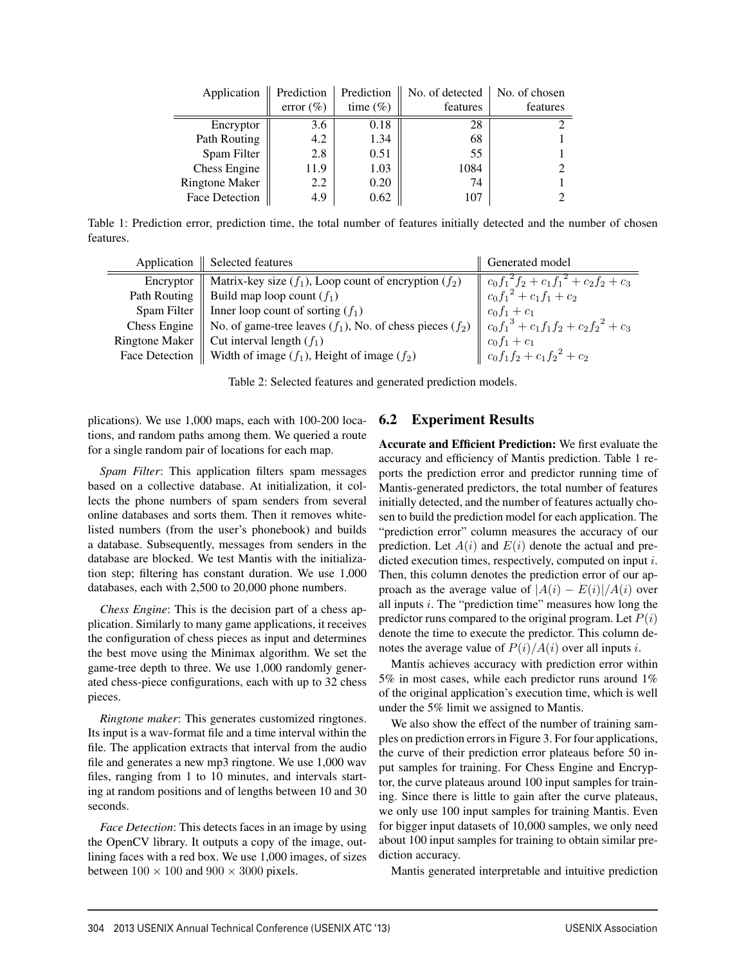| Application           | Prediction   | Prediction   | No. of detected | No. of chosen |
|-----------------------|--------------|--------------|-----------------|---------------|
|                       | error $(\%)$ | time $(\% )$ | features        | features      |
| Encryptor             | 3.6          | 0.18         | 28              |               |
| Path Routing          | 4.2          | 1.34         | 68              |               |
| Spam Filter           | 2.8          | 0.51         | 55              |               |
| Chess Engine          | 11.9         | 1.03         | 1084            |               |
| <b>Ringtone Maker</b> | 2.2          | 0.20         | 74              |               |
| Face Detection        | 4.9          | 0.62         | 107             |               |

Table 1: Prediction error, prediction time, the total number of features initially detected and the number of chosen features.

|                       | Application   Selected features                                                                                                                                                                                                                                                                                                                      | Generated model                                                                                                       |
|-----------------------|------------------------------------------------------------------------------------------------------------------------------------------------------------------------------------------------------------------------------------------------------------------------------------------------------------------------------------------------------|-----------------------------------------------------------------------------------------------------------------------|
| Encryptor             | Matrix-key size $(f_1)$ , Loop count of encryption $(f_2)$                                                                                                                                                                                                                                                                                           | $\begin{array}{ c c } \hline c_0f_1^2f_2+c_1f_1^2+c_2f_2+c_3\\ c_0f_1^2+c_1f_1+c_2\\ c_0f_1+c_1\\ \hline \end{array}$ |
| Path Routing          | Build map loop count $(f_1)$                                                                                                                                                                                                                                                                                                                         |                                                                                                                       |
| Spam Filter           | Inner loop count of sorting $(f_1)$                                                                                                                                                                                                                                                                                                                  |                                                                                                                       |
|                       |                                                                                                                                                                                                                                                                                                                                                      |                                                                                                                       |
| <b>Ringtone Maker</b> |                                                                                                                                                                                                                                                                                                                                                      |                                                                                                                       |
|                       | Chess Engine No. of game-tree leaves $(f_1)$ , No. of chess pieces $(f_2)$ $\begin{array}{c} c_0 f_1^3 + c_1 f_1 f_2 + c_2 f_2^2 + c_3 \end{array}$<br>ingtone Maker Cut interval length $(f_1)$<br><sup>3</sup> ace Detection Width of image $(f_1)$ , Height of image $(f_2)$<br>Face Detection   Width of image $(f_1)$ , Height of image $(f_2)$ |                                                                                                                       |

Table 2: Selected features and generated prediction models.

plications). We use 1,000 maps, each with 100-200 locations, and random paths among them. We queried a route for a single random pair of locations for each map.

*Spam Filter*: This application filters spam messages based on a collective database. At initialization, it collects the phone numbers of spam senders from several online databases and sorts them. Then it removes whitelisted numbers (from the user's phonebook) and builds a database. Subsequently, messages from senders in the database are blocked. We test Mantis with the initialization step; filtering has constant duration. We use 1,000 databases, each with 2,500 to 20,000 phone numbers.

*Chess Engine*: This is the decision part of a chess application. Similarly to many game applications, it receives the configuration of chess pieces as input and determines the best move using the Minimax algorithm. We set the game-tree depth to three. We use 1,000 randomly generated chess-piece configurations, each with up to 32 chess pieces.

*Ringtone maker*: This generates customized ringtones. Its input is a wav-format file and a time interval within the file. The application extracts that interval from the audio file and generates a new mp3 ringtone. We use 1,000 wav files, ranging from 1 to 10 minutes, and intervals starting at random positions and of lengths between 10 and 30 seconds.

*Face Detection*: This detects faces in an image by using the OpenCV library. It outputs a copy of the image, outlining faces with a red box. We use 1,000 images, of sizes between  $100 \times 100$  and  $900 \times 3000$  pixels.

#### 6.2 Experiment Results

Accurate and Efficient Prediction: We first evaluate the accuracy and efficiency of Mantis prediction. Table 1 reports the prediction error and predictor running time of Mantis-generated predictors, the total number of features initially detected, and the number of features actually chosen to build the prediction model for each application. The "prediction error" column measures the accuracy of our prediction. Let  $A(i)$  and  $E(i)$  denote the actual and predicted execution times, respectively, computed on input i. Then, this column denotes the prediction error of our approach as the average value of  $|A(i) - E(i)|/A(i)$  over all inputs  $i$ . The "prediction time" measures how long the predictor runs compared to the original program. Let  $P(i)$ denote the time to execute the predictor. This column denotes the average value of  $P(i)/A(i)$  over all inputs i.

Mantis achieves accuracy with prediction error within 5% in most cases, while each predictor runs around 1% of the original application's execution time, which is well under the 5% limit we assigned to Mantis.

We also show the effect of the number of training samples on prediction errors in Figure 3. For four applications, the curve of their prediction error plateaus before 50 input samples for training. For Chess Engine and Encryptor, the curve plateaus around 100 input samples for training. Since there is little to gain after the curve plateaus, we only use 100 input samples for training Mantis. Even for bigger input datasets of 10,000 samples, we only need about 100 input samples for training to obtain similar prediction accuracy.

Mantis generated interpretable and intuitive prediction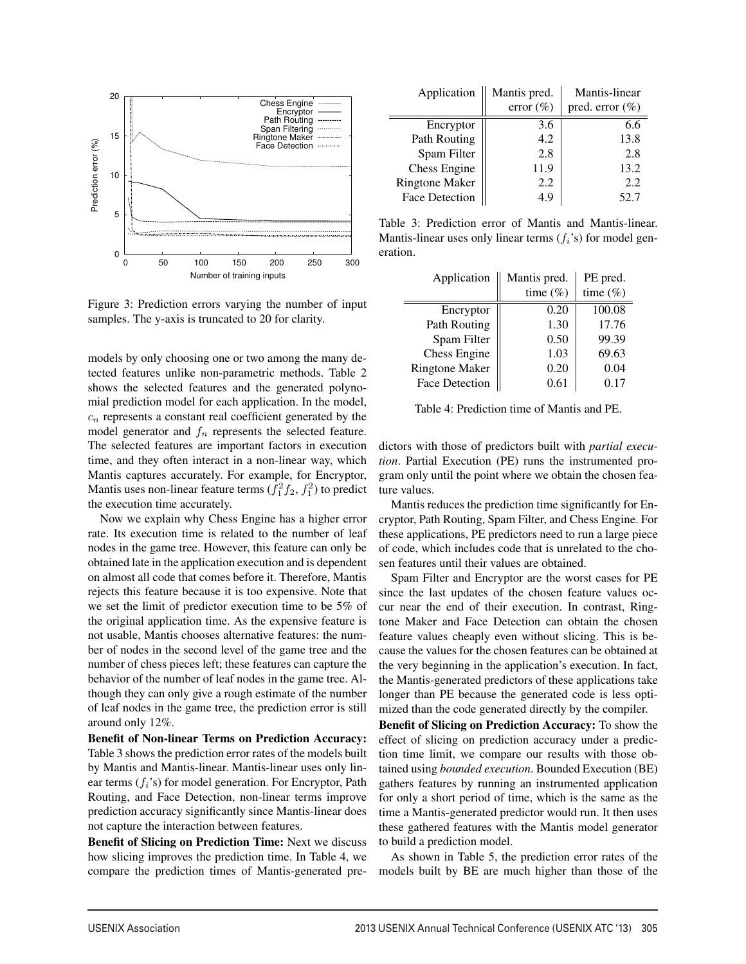

Figure 3: Prediction errors varying the number of input samples. The y-axis is truncated to 20 for clarity.

models by only choosing one or two among the many detected features unlike non-parametric methods. Table 2 shows the selected features and the generated polynomial prediction model for each application. In the model,  $c_n$  represents a constant real coefficient generated by the model generator and  $f_n$  represents the selected feature. The selected features are important factors in execution time, and they often interact in a non-linear way, which Mantis captures accurately. For example, for Encryptor, Mantis uses non-linear feature terms  $(f_1^2 f_2, f_1^2)$  to predict the execution time accurately.

Now we explain why Chess Engine has a higher error rate. Its execution time is related to the number of leaf nodes in the game tree. However, this feature can only be obtained late in the application execution and is dependent on almost all code that comes before it. Therefore, Mantis rejects this feature because it is too expensive. Note that we set the limit of predictor execution time to be 5% of the original application time. As the expensive feature is not usable, Mantis chooses alternative features: the number of nodes in the second level of the game tree and the number of chess pieces left; these features can capture the behavior of the number of leaf nodes in the game tree. Although they can only give a rough estimate of the number of leaf nodes in the game tree, the prediction error is still around only 12%.

Benefit of Non-linear Terms on Prediction Accuracy: Table 3 shows the prediction error rates of the models built by Mantis and Mantis-linear. Mantis-linear uses only linear terms  $(f_i)$ 's) for model generation. For Encryptor, Path Routing, and Face Detection, non-linear terms improve prediction accuracy significantly since Mantis-linear does not capture the interaction between features.

Benefit of Slicing on Prediction Time: Next we discuss how slicing improves the prediction time. In Table 4, we compare the prediction times of Mantis-generated pre-

| Application           | Mantis pred. | Mantis-linear       |  |  |
|-----------------------|--------------|---------------------|--|--|
|                       | error $(\%)$ | pred. error $(\% )$ |  |  |
| Encryptor             | 3.6          | 6.6                 |  |  |
| Path Routing          | 4.2          | 13.8                |  |  |
| Spam Filter           | 2.8          | 2.8                 |  |  |
| Chess Engine          | 11.9         | 13.2                |  |  |
| <b>Ringtone Maker</b> | 2.2          | 2.2                 |  |  |
| <b>Face Detection</b> | 4.9          | 52.7                |  |  |

Table 3: Prediction error of Mantis and Mantis-linear. Mantis-linear uses only linear terms  $(f_i)$  for model generation.

| Application           | Mantis pred. | PE pred.    |  |
|-----------------------|--------------|-------------|--|
|                       | time $(\%)$  | time $(\%)$ |  |
| Encryptor             | 0.20         | 100.08      |  |
| Path Routing          | 1.30         | 17.76       |  |
| Spam Filter           | 0.50         | 99.39       |  |
| Chess Engine          | 1.03         | 69.63       |  |
| <b>Ringtone Maker</b> | 0.20         | 0.04        |  |
| <b>Face Detection</b> | 0.61         | 0.17        |  |

Table 4: Prediction time of Mantis and PE.

dictors with those of predictors built with *partial execution*. Partial Execution (PE) runs the instrumented program only until the point where we obtain the chosen feature values.

Mantis reduces the prediction time significantly for Encryptor, Path Routing, Spam Filter, and Chess Engine. For these applications, PE predictors need to run a large piece of code, which includes code that is unrelated to the chosen features until their values are obtained.

Spam Filter and Encryptor are the worst cases for PE since the last updates of the chosen feature values occur near the end of their execution. In contrast, Ringtone Maker and Face Detection can obtain the chosen feature values cheaply even without slicing. This is because the values for the chosen features can be obtained at the very beginning in the application's execution. In fact, the Mantis-generated predictors of these applications take longer than PE because the generated code is less optimized than the code generated directly by the compiler.

Benefit of Slicing on Prediction Accuracy: To show the effect of slicing on prediction accuracy under a prediction time limit, we compare our results with those obtained using *bounded execution*. Bounded Execution (BE) gathers features by running an instrumented application for only a short period of time, which is the same as the time a Mantis-generated predictor would run. It then uses these gathered features with the Mantis model generator to build a prediction model.

As shown in Table 5, the prediction error rates of the models built by BE are much higher than those of the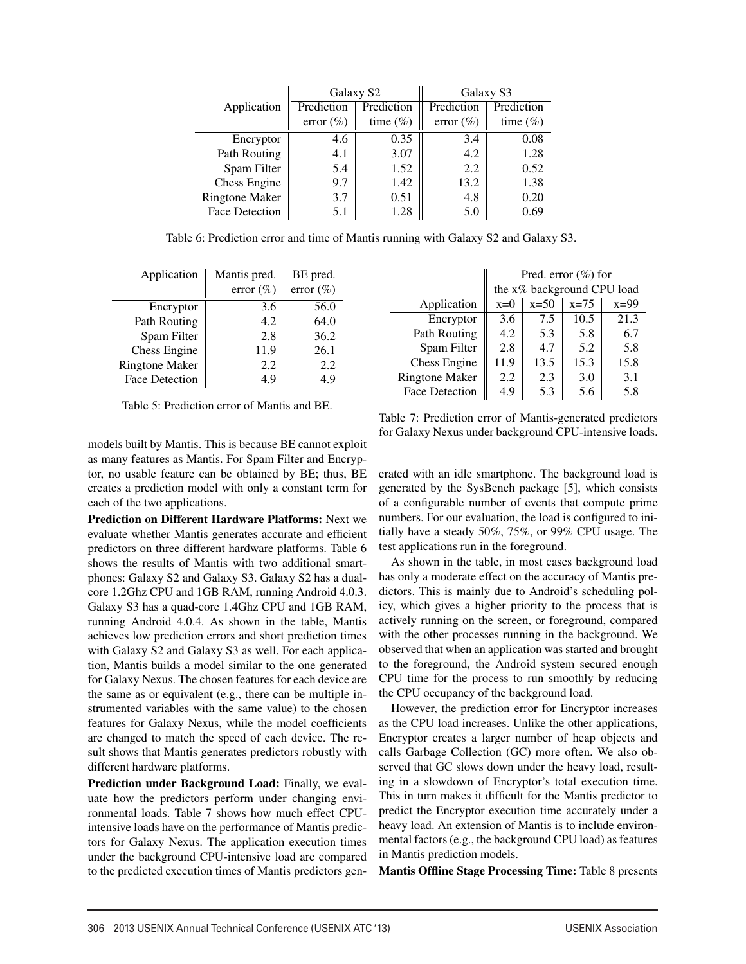|                       |                          | Galaxy S2    | Galaxy S3    |             |  |
|-----------------------|--------------------------|--------------|--------------|-------------|--|
| Application           | Prediction<br>Prediction |              | Prediction   | Prediction  |  |
|                       | error $(\% )$            | time $(\% )$ | error $(\%)$ | time $(\%)$ |  |
| Encryptor             | 4.6                      | 0.35         | 3.4          | 0.08        |  |
| Path Routing          | 4.1                      | 3.07         | 4.2          | 1.28        |  |
| Spam Filter           | 5.4                      | 1.52         | 2.2          | 0.52        |  |
| Chess Engine          | 9.7                      | 1.42         | 13.2         | 1.38        |  |
| <b>Ringtone Maker</b> | 3.7                      | 0.51         | 4.8          | 0.20        |  |
| Face Detection        | 5.1                      | 1.28         | 5.0          | 0.69        |  |

Table 6: Prediction error and time of Mantis running with Galaxy S2 and Galaxy S3.

| Application           | Mantis pred. | BE pred.     |  |
|-----------------------|--------------|--------------|--|
|                       | error $(\%)$ | error $(\%)$ |  |
| Encryptor             | 3.6          | 56.0         |  |
| Path Routing          | 4.2          | 64.0         |  |
| Spam Filter           | 2.8          | 36.2         |  |
| Chess Engine          | 11.9         | 26.1         |  |
| <b>Ringtone Maker</b> | 2.2          | 2.2          |  |
| <b>Face Detection</b> | 4.9          |              |  |

|                       | the x% background CPU load |        |        |        |
|-----------------------|----------------------------|--------|--------|--------|
| Application           | $x=0$                      | $x=50$ | $x=75$ | $x=99$ |
| Encryptor             | 3.6                        | 7.5    | 10.5   | 21.3   |
| Path Routing          | 4.2                        | 5.3    | 5.8    | 6.7    |
| Spam Filter           | 2.8                        | 4.7    | 5.2    | 5.8    |
| Chess Engine          | 11.9                       | 13.5   | 15.3   | 15.8   |
| <b>Ringtone Maker</b> | 2.2                        | 2.3    | 3.0    | 3.1    |
| <b>Face Detection</b> | 4.9                        | 5.3    | 5.6    | 5.8    |
|                       |                            |        |        |        |

 $\parallel$ 

Pred. error (%) for

Table 5: Prediction error of Mantis and BE.

models built by Mantis. This is because BE cannot exploit as many features as Mantis. For Spam Filter and Encryptor, no usable feature can be obtained by BE; thus, BE creates a prediction model with only a constant term for each of the two applications.

Prediction on Different Hardware Platforms: Next we evaluate whether Mantis generates accurate and efficient predictors on three different hardware platforms. Table 6 shows the results of Mantis with two additional smartphones: Galaxy S2 and Galaxy S3. Galaxy S2 has a dualcore 1.2Ghz CPU and 1GB RAM, running Android 4.0.3. Galaxy S3 has a quad-core 1.4Ghz CPU and 1GB RAM, running Android 4.0.4. As shown in the table, Mantis achieves low prediction errors and short prediction times with Galaxy S2 and Galaxy S3 as well. For each application, Mantis builds a model similar to the one generated for Galaxy Nexus. The chosen features for each device are the same as or equivalent (e.g., there can be multiple instrumented variables with the same value) to the chosen features for Galaxy Nexus, while the model coefficients are changed to match the speed of each device. The result shows that Mantis generates predictors robustly with different hardware platforms.

Prediction under Background Load: Finally, we evaluate how the predictors perform under changing environmental loads. Table 7 shows how much effect CPUintensive loads have on the performance of Mantis predictors for Galaxy Nexus. The application execution times under the background CPU-intensive load are compared to the predicted execution times of Mantis predictors gen-

Table 7: Prediction error of Mantis-generated predictors for Galaxy Nexus under background CPU-intensive loads.

erated with an idle smartphone. The background load is generated by the SysBench package [5], which consists of a configurable number of events that compute prime numbers. For our evaluation, the load is configured to initially have a steady 50%, 75%, or 99% CPU usage. The test applications run in the foreground.

As shown in the table, in most cases background load has only a moderate effect on the accuracy of Mantis predictors. This is mainly due to Android's scheduling policy, which gives a higher priority to the process that is actively running on the screen, or foreground, compared with the other processes running in the background. We observed that when an application was started and brought to the foreground, the Android system secured enough CPU time for the process to run smoothly by reducing the CPU occupancy of the background load.

However, the prediction error for Encryptor increases as the CPU load increases. Unlike the other applications, Encryptor creates a larger number of heap objects and calls Garbage Collection (GC) more often. We also observed that GC slows down under the heavy load, resulting in a slowdown of Encryptor's total execution time. This in turn makes it difficult for the Mantis predictor to predict the Encryptor execution time accurately under a heavy load. An extension of Mantis is to include environmental factors (e.g., the background CPU load) as features in Mantis prediction models.

Mantis Offline Stage Processing Time: Table 8 presents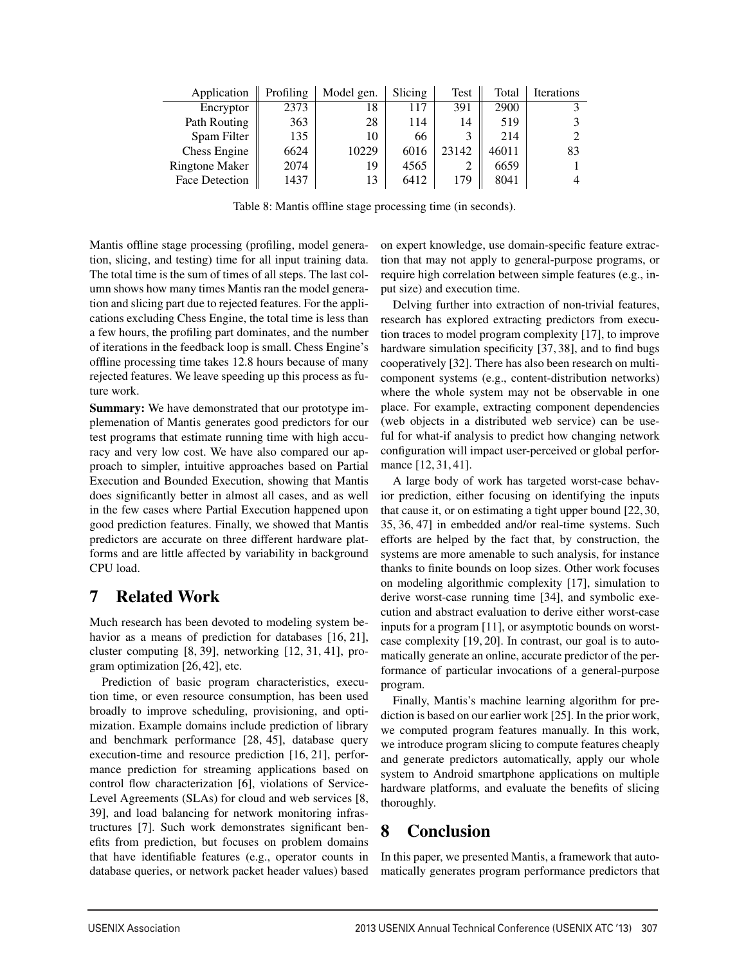| Application           | Profiling | Model gen. | Slicing | <b>Test</b> | Total | <b>Iterations</b> |
|-----------------------|-----------|------------|---------|-------------|-------|-------------------|
| Encryptor             | 2373      | 18         | 117     | 391         | 2900  |                   |
| Path Routing          | 363       | 28         | 114     | 14          | 519   |                   |
| Spam Filter           | 135       | 10         | 66      | 3           | 214   |                   |
| Chess Engine          | 6624      | 10229      | 6016    | 23142       | 46011 | 83                |
| <b>Ringtone Maker</b> | 2074      | 19         | 4565    |             | 6659  |                   |
| <b>Face Detection</b> | 1437      | 13         | 6412    | 179         | 8041  |                   |

Table 8: Mantis offline stage processing time (in seconds).

Mantis offline stage processing (profiling, model generation, slicing, and testing) time for all input training data. The total time is the sum of times of all steps. The last column shows how many times Mantis ran the model generation and slicing part due to rejected features. For the applications excluding Chess Engine, the total time is less than a few hours, the profiling part dominates, and the number of iterations in the feedback loop is small. Chess Engine's offline processing time takes 12.8 hours because of many rejected features. We leave speeding up this process as future work.

**Summary:** We have demonstrated that our prototype implemenation of Mantis generates good predictors for our test programs that estimate running time with high accuracy and very low cost. We have also compared our approach to simpler, intuitive approaches based on Partial Execution and Bounded Execution, showing that Mantis does significantly better in almost all cases, and as well in the few cases where Partial Execution happened upon good prediction features. Finally, we showed that Mantis predictors are accurate on three different hardware platforms and are little affected by variability in background CPU load.

## 7 Related Work

Much research has been devoted to modeling system behavior as a means of prediction for databases [16, 21], cluster computing [8, 39], networking [12, 31, 41], program optimization [26, 42], etc.

Prediction of basic program characteristics, execution time, or even resource consumption, has been used broadly to improve scheduling, provisioning, and optimization. Example domains include prediction of library and benchmark performance [28, 45], database query execution-time and resource prediction [16, 21], performance prediction for streaming applications based on control flow characterization [6], violations of Service-Level Agreements (SLAs) for cloud and web services [8, 39], and load balancing for network monitoring infrastructures [7]. Such work demonstrates significant benefits from prediction, but focuses on problem domains that have identifiable features (e.g., operator counts in database queries, or network packet header values) based

on expert knowledge, use domain-specific feature extraction that may not apply to general-purpose programs, or require high correlation between simple features (e.g., input size) and execution time.

Delving further into extraction of non-trivial features, research has explored extracting predictors from execution traces to model program complexity [17], to improve hardware simulation specificity [37, 38], and to find bugs cooperatively [32]. There has also been research on multicomponent systems (e.g., content-distribution networks) where the whole system may not be observable in one place. For example, extracting component dependencies (web objects in a distributed web service) can be useful for what-if analysis to predict how changing network configuration will impact user-perceived or global performance [12, 31, 41].

A large body of work has targeted worst-case behavior prediction, either focusing on identifying the inputs that cause it, or on estimating a tight upper bound [22, 30, 35, 36, 47] in embedded and/or real-time systems. Such efforts are helped by the fact that, by construction, the systems are more amenable to such analysis, for instance thanks to finite bounds on loop sizes. Other work focuses on modeling algorithmic complexity [17], simulation to derive worst-case running time [34], and symbolic execution and abstract evaluation to derive either worst-case inputs for a program [11], or asymptotic bounds on worstcase complexity [19, 20]. In contrast, our goal is to automatically generate an online, accurate predictor of the performance of particular invocations of a general-purpose program.

Finally, Mantis's machine learning algorithm for prediction is based on our earlier work [25]. In the prior work, we computed program features manually. In this work, we introduce program slicing to compute features cheaply and generate predictors automatically, apply our whole system to Android smartphone applications on multiple hardware platforms, and evaluate the benefits of slicing thoroughly.

## 8 Conclusion

In this paper, we presented Mantis, a framework that automatically generates program performance predictors that